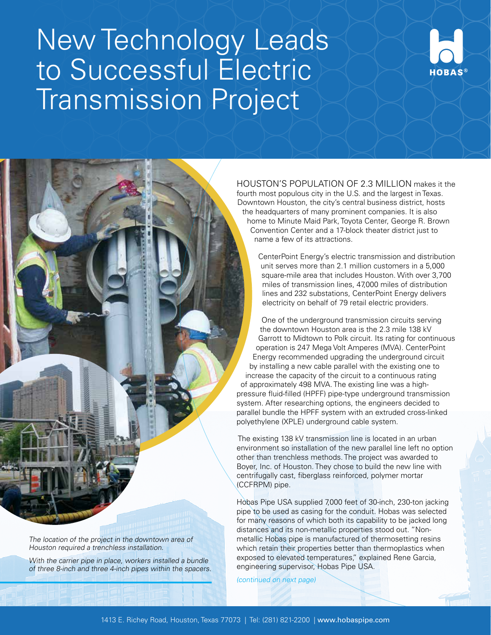## New Technology Leads to Successful Electric Transmission Project



HOUSTON'S POPULATION OF 2.3 MILLION makes it the fourth most populous city in the U.S. and the largest in Texas. Downtown Houston, the city's central business district, hosts the headquarters of many prominent companies. It is also home to Minute Maid Park, Toyota Center, George R. Brown Convention Center and a 17-block theater district just to name a few of its attractions.

CenterPoint Energy's electric transmission and distribution unit serves more than 2.1 million customers in a 5,000 square-mile area that includes Houston. With over 3,700 miles of transmission lines, 47,000 miles of distribution lines and 232 substations, CenterPoint Energy delivers electricity on behalf of 79 retail electric providers.

One of the underground transmission circuits serving the downtown Houston area is the 2.3 mile 138 kV Garrott to Midtown to Polk circuit. Its rating for continuous operation is 247 Mega Volt Amperes (MVA). CenterPoint Energy recommended upgrading the underground circuit by installing a new cable parallel with the existing one to increase the capacity of the circuit to a continuous rating of approximately 498 MVA. The existing line was a highpressure fluid-filled (HPFF) pipe-type underground transmission system. After researching options, the engineers decided to parallel bundle the HPFF system with an extruded cross-linked polyethylene (XPLE) underground cable system.

 The existing 138 kV transmission line is located in an urban environment so installation of the new parallel line left no option other than trenchless methods. The project was awarded to Boyer, Inc. of Houston. They chose to build the new line with centrifugally cast, fiberglass reinforced, polymer mortar (CCFRPM) pipe.

Hobas Pipe USA supplied 7,000 feet of 30-inch, 230-ton jacking pipe to be used as casing for the conduit. Hobas was selected for many reasons of which both its capability to be jacked long distances and its non-metallic properties stood out. "Nonmetallic Hobas pipe is manufactured of thermosetting resins which retain their properties better than thermoplastics when exposed to elevated temperatures," explained Rene Garcia, engineering supervisor, Hobas Pipe USA.

(continued on next page)

The location of the project in the downtown area of Houston required a trenchless installation.

With the carrier pipe in place, workers installed a bundle of three 8-inch and three 4-inch pipes within the spacers.